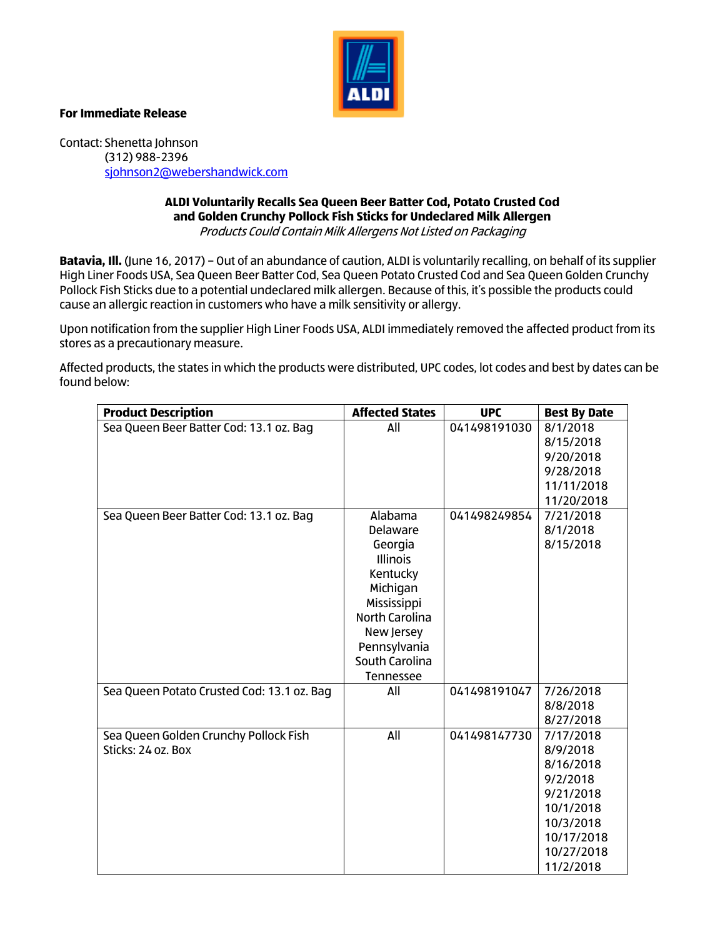

## **For Immediate Release**

Contact: Shenetta Johnson (312) 988-2396 [sjohnson2@webershandwick.com](mailto:sjohnson2@webershandwick.com)

## **ALDI Voluntarily Recalls Sea Queen Beer Batter Cod, Potato Crusted Cod and Golden Crunchy Pollock Fish Sticks for Undeclared Milk Allergen** Products Could Contain Milk Allergens Not Listed on Packaging

**Batavia, Ill.** (June 16, 2017) – Out of an abundance of caution, ALDI is voluntarily recalling, on behalf of its supplier High Liner Foods USA, Sea Queen Beer Batter Cod, Sea Queen Potato Crusted Cod and Sea Queen Golden Crunchy Pollock Fish Sticks due to a potential undeclared milk allergen. Because of this, it's possible the products could cause an allergic reaction in customers who have a milk sensitivity or allergy.

Upon notification from the supplier High Liner Foods USA, ALDI immediately removed the affected product from its stores as a precautionary measure.

Affected products, the states in which the products were distributed, UPC codes, lot codes and best by dates can be found below:

| <b>Product Description</b>                 | <b>Affected States</b> | <b>UPC</b>   | <b>Best By Date</b> |
|--------------------------------------------|------------------------|--------------|---------------------|
| Sea Queen Beer Batter Cod: 13.1 oz. Bag    | All                    | 041498191030 | 8/1/2018            |
|                                            |                        |              | 8/15/2018           |
|                                            |                        |              | 9/20/2018           |
|                                            |                        |              | 9/28/2018           |
|                                            |                        |              | 11/11/2018          |
|                                            |                        |              | 11/20/2018          |
| Sea Queen Beer Batter Cod: 13.1 oz. Bag    | Alabama                | 041498249854 | 7/21/2018           |
|                                            | Delaware               |              | 8/1/2018            |
|                                            | Georgia                |              | 8/15/2018           |
|                                            | <b>Illinois</b>        |              |                     |
|                                            | Kentucky               |              |                     |
|                                            | Michigan               |              |                     |
|                                            | Mississippi            |              |                     |
|                                            | North Carolina         |              |                     |
|                                            | New Jersey             |              |                     |
|                                            | Pennsylvania           |              |                     |
|                                            | South Carolina         |              |                     |
|                                            | Tennessee              |              |                     |
| Sea Queen Potato Crusted Cod: 13.1 oz. Bag | All                    | 041498191047 | 7/26/2018           |
|                                            |                        |              | 8/8/2018            |
|                                            |                        |              | 8/27/2018           |
| Sea Queen Golden Crunchy Pollock Fish      | All                    | 041498147730 | 7/17/2018           |
| Sticks: 24 oz. Box                         |                        |              | 8/9/2018            |
|                                            |                        |              | 8/16/2018           |
|                                            |                        |              | 9/2/2018            |
|                                            |                        |              | 9/21/2018           |
|                                            |                        |              | 10/1/2018           |
|                                            |                        |              | 10/3/2018           |
|                                            |                        |              | 10/17/2018          |
|                                            |                        |              | 10/27/2018          |
|                                            |                        |              | 11/2/2018           |